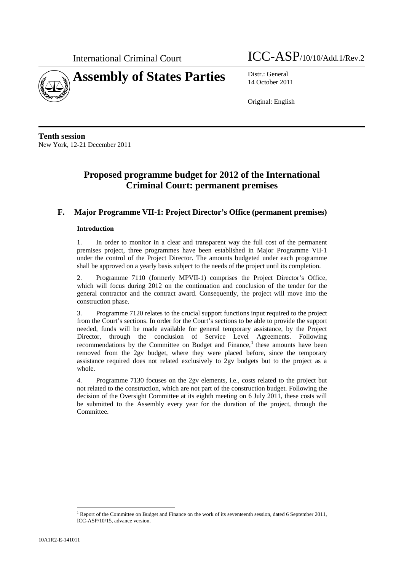

International Criminal Court ICC-ASP/10/10/Add.1/Rev.2

14 October 2011

Original: English

**Tenth session**  New York, 12-21 December 2011

# **Proposed programme budget for 2012 of the International Criminal Court: permanent premises**

## **F. Major Programme VII-1: Project Director's Office (permanent premises)**

## **Introduction**

1. In order to monitor in a clear and transparent way the full cost of the permanent premises project, three programmes have been established in Major Programme VII-1 under the control of the Project Director. The amounts budgeted under each programme shall be approved on a yearly basis subject to the needs of the project until its completion.

2. Programme 7110 (formerly MPVII-1) comprises the Project Director's Office, which will focus during 2012 on the continuation and conclusion of the tender for the general contractor and the contract award. Consequently, the project will move into the construction phase.

3. Programme 7120 relates to the crucial support functions input required to the project from the Court's sections. In order for the Court's sections to be able to provide the support needed, funds will be made available for general temporary assistance, by the Project Director, through the conclusion of Service Level Agreements. Following recommendations by the Committee on Budget and Finance, $<sup>1</sup>$  these amounts have been</sup> removed from the 2gv budget, where they were placed before, since the temporary assistance required does not related exclusively to 2gv budgets but to the project as a whole.

4. Programme 7130 focuses on the 2gv elements, i.e., costs related to the project but not related to the construction, which are not part of the construction budget. Following the decision of the Oversight Committee at its eighth meeting on 6 July 2011, these costs will be submitted to the Assembly every year for the duration of the project, through the Committee.

l

<sup>&</sup>lt;sup>1</sup> Report of the Committee on Budget and Finance on the work of its seventeenth session, dated 6 September 2011, ICC-ASP/10/15, advance version.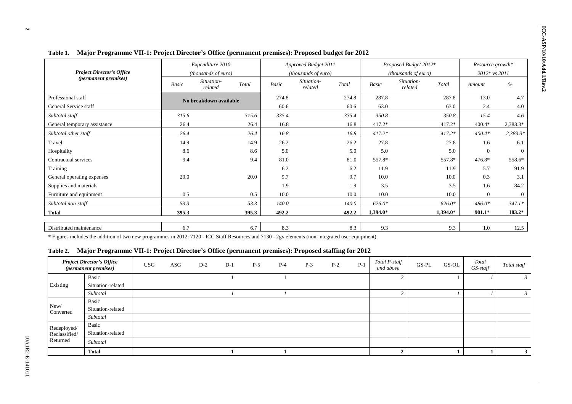|                                  |       |                                         |       |              | Major Programme VII-1: Project Director's Office (permanent premises): Proposed budget for 2012 |       |              |                                                       |                  |                                   |  |  |
|----------------------------------|-------|-----------------------------------------|-------|--------------|-------------------------------------------------------------------------------------------------|-------|--------------|-------------------------------------------------------|------------------|-----------------------------------|--|--|
| <b>Project Director's Office</b> |       | Expenditure 2010<br>(thousands of euro) |       |              | Approved Budget 2011                                                                            |       |              | Proposed Budget 2012*                                 |                  | Resource growth*<br>2012* vs 2011 |  |  |
| <i>(permanent premises)</i>      | Basic | Situation-<br>Total<br>related          |       | <b>Basic</b> | (thousands of euro)<br>Situation-<br>related                                                    | Total | <b>Basic</b> | (thousands of euro)<br>Situation-<br>Total<br>related | Amount           | $\%$                              |  |  |
| Professional staff               |       | No breakdown available                  |       | 274.8        |                                                                                                 | 274.8 | 287.8        | 287.8                                                 | 13.0             | 4.7                               |  |  |
| General Service staff            |       |                                         |       | 60.6         |                                                                                                 | 60.6  | 63.0         |                                                       | 63.0<br>2.4      | 4.0                               |  |  |
| Subtotal staff                   | 315.6 |                                         | 315.6 | 335.4        |                                                                                                 | 335.4 | 350.8        | 350.8                                                 | 15.4             | 4.6                               |  |  |
| General temporary assistance     | 26.4  |                                         | 26.4  | 16.8         |                                                                                                 | 16.8  | $417.2*$     | 417.2*                                                | $400.4*$         | 2,383.3*                          |  |  |
| Subtotal other staff             | 26.4  |                                         | 26.4  | 16.8         |                                                                                                 | 16.8  | $417.2*$     | $417.2*$                                              | $400.4*$         | $2,383.3*$                        |  |  |
| Travel                           | 14.9  |                                         | 14.9  | 26.2         |                                                                                                 | 26.2  | 27.8         |                                                       | 27.8<br>1.6      | 6.1                               |  |  |
| Hospitality                      | 8.6   |                                         | 8.6   | 5.0          |                                                                                                 | 5.0   | 5.0          |                                                       | $\theta$<br>5.0  | $\Omega$                          |  |  |
| Contractual services             | 9.4   |                                         | 9.4   | 81.0         |                                                                                                 | 81.0  | 557.8*       | 557.8*                                                | 476.8*           | 558.6*                            |  |  |
| Training                         |       |                                         |       | 6.2          |                                                                                                 | 6.2   | 11.9         |                                                       | 5.7<br>11.9      | 91.9                              |  |  |
| General operating expenses       | 20.0  |                                         | 20.0  | 9.7          |                                                                                                 | 9.7   | 10.0         |                                                       | 0.3<br>10.0      | 3.1                               |  |  |
| Supplies and materials           |       |                                         |       | 1.9          |                                                                                                 | 1.9   | 3.5          |                                                       | 3.5<br>1.6       | 84.2                              |  |  |
| Furniture and equipment          | 0.5   |                                         | 0.5   | 10.0         |                                                                                                 | 10.0  | 10.0         |                                                       | 10.0<br>$\theta$ | $\Omega$                          |  |  |
| Subtotal non-staff               | 53.3  |                                         | 53.3  | 140.0        |                                                                                                 | 140.0 | $626.0*$     | $626.0*$                                              | 486.0*           | $347.1*$                          |  |  |
| <b>Total</b>                     | 395.3 |                                         | 395.3 | 492.2        |                                                                                                 | 492.2 | $1.394.0*$   | $1.394.0*$                                            | $901.1*$         | $183.2*$                          |  |  |

\* Figures includes the addition of two new programmes in 2012: 7120 - ICC Staff Resources and 7130 - 2gv elements (non-integrated user equipment).

## **Table 2. Major Programme VII-1: Project Director's Office (permanent premises): Proposed staffing for 2012**

|                   | <b>Project Director's Office</b><br>(permanent premises) | <b>USG</b> | ASG | $D-2$ | $D-1$ | $P-5$ | $P-4$ | $P-3$ | $P-2$ | $P-1$ | Total P-staff<br>and above | $GS-PL$ | GS-OL | Total<br>GS-staff | Total staff |
|-------------------|----------------------------------------------------------|------------|-----|-------|-------|-------|-------|-------|-------|-------|----------------------------|---------|-------|-------------------|-------------|
|                   | Basic                                                    |            |     |       |       |       |       |       |       |       |                            |         |       |                   |             |
| Existing          | Situation-related                                        |            |     |       |       |       |       |       |       |       |                            |         |       |                   |             |
|                   | Subtotal                                                 |            |     |       |       |       |       |       |       |       |                            |         |       |                   |             |
|                   | Basic                                                    |            |     |       |       |       |       |       |       |       |                            |         |       |                   |             |
| New/<br>Converted | Situation-related                                        |            |     |       |       |       |       |       |       |       |                            |         |       |                   |             |
|                   | Subtotal                                                 |            |     |       |       |       |       |       |       |       |                            |         |       |                   |             |
| Redeployed/       | Basic                                                    |            |     |       |       |       |       |       |       |       |                            |         |       |                   |             |
| Reclassified/     | Situation-related                                        |            |     |       |       |       |       |       |       |       |                            |         |       |                   |             |
| Returned          | Subtotal                                                 |            |     |       |       |       |       |       |       |       |                            |         |       |                   |             |
|                   | <b>Total</b>                                             |            |     |       |       |       |       |       |       |       | ി                          |         |       |                   |             |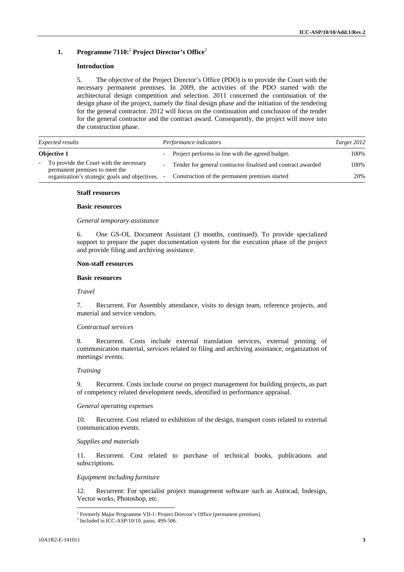## **1. Programme 7110:**<sup>2</sup> **Project Director's Office**<sup>3</sup>

## **Introduction**

5. The objective of the Project Director's Office (PDO) is to provide the Court with the necessary permanent premises. In 2009, the activities of the PDO started with the architectural design competition and selection. 2011 concerned the continuation of the design phase of the project, namely the final design phase and the initiation of the tendering for the general contractor. 2012 will focus on the continuation and conclusion of the tender for the general contractor and the contract award. Consequently, the project will move into the construction phase.

| <i>Expected results</i>                                                     | Performance indicators                                       | Target 2012 |
|-----------------------------------------------------------------------------|--------------------------------------------------------------|-------------|
| <b>Objective 1</b>                                                          | - Project performs in line with the agreed budget.           | 100%        |
| - To provide the Court with the necessary<br>permanent premises to meet the | Tender for general contractor finalised and contract awarded | 100%        |
| organization's strategic goals and objectives.                              | Construction of the permanent premises started               | 20%         |

#### **Staff resources**

## **Basic resources**

*General temporary assistance* 

6. One GS-OL Document Assistant (3 months, continued). To provide specialized support to prepare the paper documentation system for the execution phase of the project and provide filing and archiving assistance.

## **Non-staff resources**

#### **Basic resources**

*Travel* 

7. Recurrent. For Assembly attendance, visits to design team, reference projects, and material and service vendors.

#### *Contractual services*

8. Recurrent. Costs include external translation services, external printing of communication material, services related to filing and archiving assistance, organization of meetings/ events.

## *Training*

9. Recurrent. Costs include course on project management for building projects, as part of competency related development needs, identified in performance appraisal.

#### *General operating expenses*

10. Recurrent. Cost related to exhibition of the design, transport costs related to external communication events.

### *Supplies and materials*

11. Recurrent. Cost related to purchase of technical books, publications and subscriptions.

#### *Equipment including furniture*

12. Recurrent: For specialist project management software such as Autocad, Indesign, Vector works, Photoshop, etc.

l

<sup>&</sup>lt;sup>2</sup> Formerly Major Programme VII-1: Project Director's Office (permanent premises).

<sup>3</sup> Included in ICC-ASP/10/10, paras. 499-506.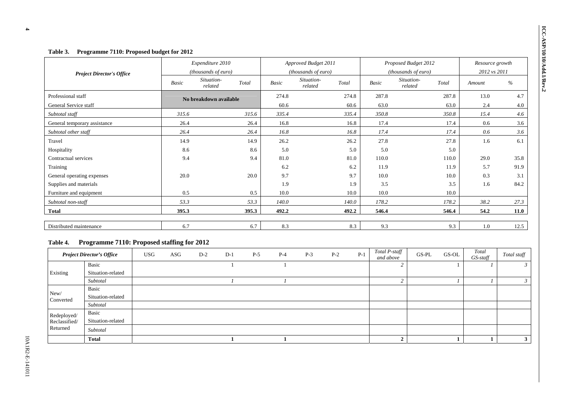| Table 3.<br>Programme 7110: Proposed budget for 2012 |       |                        |       |                      |                       |       |                      |                       |                 |              |      |
|------------------------------------------------------|-------|------------------------|-------|----------------------|-----------------------|-------|----------------------|-----------------------|-----------------|--------------|------|
|                                                      |       | Expenditure 2010       |       | Approved Budget 2011 |                       |       | Proposed Budget 2012 |                       | Resource growth |              |      |
| <b>Project Director's Office</b>                     |       | (thousands of euro)    |       |                      | (thousands of euro)   |       |                      | (thousands of euro)   |                 | 2012 vs 2011 |      |
|                                                      | Basic | Situation-<br>related  | Total | <b>Basic</b>         | Situation-<br>related | Total | <b>Basic</b>         | Situation-<br>related | Total           | Amount       | %    |
| Professional staff                                   |       | No breakdown available |       | 274.8                |                       | 274.8 | 287.8                |                       | 287.8           | 13.0         | 4.7  |
| General Service staff                                |       |                        |       | 60.6                 |                       | 60.6  | 63.0                 |                       | 63.0            | 2.4          | 4.0  |
| Subtotal staff                                       | 315.6 |                        | 315.6 | 335.4                |                       | 335.4 | 350.8                |                       | 350.8           | 15.4         | 4.6  |
| General temporary assistance                         | 26.4  |                        | 26.4  | 16.8                 |                       | 16.8  | 17.4                 |                       | 17.4            | 0.6          | 3.6  |
| Subtotal other staff                                 | 26.4  |                        | 26.4  | 16.8                 |                       | 16.8  | 17.4                 |                       | 17.4            | 0.6          | 3.6  |
| Travel                                               | 14.9  |                        | 14.9  | 26.2                 |                       | 26.2  | 27.8                 |                       | 27.8            | 1.6          | 6.1  |
| Hospitality                                          | 8.6   |                        | 8.6   | 5.0                  |                       | 5.0   | 5.0                  |                       | 5.0             |              |      |
| Contractual services                                 | 9.4   |                        | 9.4   | 81.0                 |                       | 81.0  | 110.0                |                       | 110.0           | 29.0         | 35.8 |
| Training                                             |       |                        |       | 6.2                  |                       | 6.2   | 11.9                 |                       | 11.9            | 5.7          | 91.9 |
| General operating expenses                           | 20.0  |                        | 20.0  | 9.7                  |                       | 9.7   | 10.0                 |                       | 10.0            | 0.3          | 3.1  |
| Supplies and materials                               |       |                        |       | 1.9                  |                       | 1.9   | 3.5                  |                       | 3.5             | 1.6          | 84.2 |
| Furniture and equipment                              | 0.5   |                        | 0.5   | 10.0                 |                       | 10.0  | 10.0                 |                       | 10.0            |              |      |
| Subtotal non-staff                                   | 53.3  |                        | 53.3  | 140.0                |                       | 140.0 | 178.2                |                       | 178.2           | 38.2         | 27.3 |
| <b>Total</b>                                         | 395.3 |                        | 395.3 | 492.2                |                       | 492.2 | 546.4                |                       | 546.4           | 54.2         | 11.0 |
| Distributed maintenance                              | 6.7   |                        | 6.7   | 8.3                  |                       | 8.3   | 9.3                  |                       | 9.3             | 1.0          | 12.5 |

## **Table 4. Programme 7110: Proposed staffing for 2012**

|                   | <b>Project Director's Office</b> | <b>USG</b> | ASG | $D-2$ | $D-1$ | $P-5$ | $P-4$ | $P-3$ | $P-2$ | $P-1$ | Total P-staff<br>and above | $GS-PL$ | GS-OL | Total<br>$GS$ -staff | Total staff |
|-------------------|----------------------------------|------------|-----|-------|-------|-------|-------|-------|-------|-------|----------------------------|---------|-------|----------------------|-------------|
|                   | Basic                            |            |     |       |       |       |       |       |       |       |                            |         |       |                      |             |
| Existing          | Situation-related                |            |     |       |       |       |       |       |       |       |                            |         |       |                      |             |
|                   | Subtotal                         |            |     |       |       |       |       |       |       |       |                            |         |       |                      |             |
|                   | Basic                            |            |     |       |       |       |       |       |       |       |                            |         |       |                      |             |
| New/<br>Converted | Situation-related                |            |     |       |       |       |       |       |       |       |                            |         |       |                      |             |
|                   | Subtotal                         |            |     |       |       |       |       |       |       |       |                            |         |       |                      |             |
| Redeployed/       | Basic                            |            |     |       |       |       |       |       |       |       |                            |         |       |                      |             |
| Reclassified/     | Situation-related                |            |     |       |       |       |       |       |       |       |                            |         |       |                      |             |
| Returned          | Subtotal                         |            |     |       |       |       |       |       |       |       |                            |         |       |                      |             |
|                   | <b>Total</b>                     |            |     |       |       |       |       |       |       |       |                            |         |       |                      |             |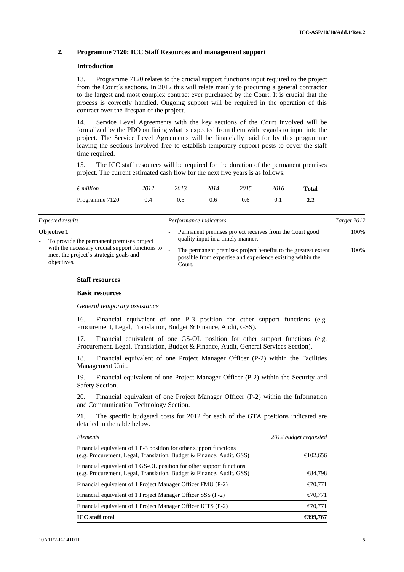## **2. Programme 7120: ICC Staff Resources and management support**

## **Introduction**

13. Programme 7120 relates to the crucial support functions input required to the project from the Court´s sections. In 2012 this will relate mainly to procuring a general contractor to the largest and most complex contract ever purchased by the Court. It is crucial that the process is correctly handled. Ongoing support will be required in the operation of this contract over the lifespan of the project.

14. Service Level Agreements with the key sections of the Court involved will be formalized by the PDO outlining what is expected from them with regards to input into the project. The Service Level Agreements will be financially paid for by this programme leaving the sections involved free to establish temporary support posts to cover the staff time required.

15. The ICC staff resources will be required for the duration of the permanent premises project. The current estimated cash flow for the next five years is as follows:

|                                                                                                          | $\sim$ 0.10.11.00.000 0.00.00.00.00                                                                                                    | $1000 - 1000 = 100$ |
|----------------------------------------------------------------------------------------------------------|----------------------------------------------------------------------------------------------------------------------------------------|---------------------|
| <b>Objective 1</b><br>- To provide the permanent premises project                                        | Permanent premises project receives from the Court good<br>quality input in a timely manner.                                           | 100%                |
| with the necessary crucial support functions to<br>meet the project's strategic goals and<br>objectives. | The permanent premises project benefits to the greatest extent<br>possible from expertise and experience existing within the<br>Court. | 100\%               |

#### **Staff resources**

#### **Basic resources**

*General temporary assistance* 

16. Financial equivalent of one P-3 position for other support functions (e.g. Procurement, Legal, Translation, Budget & Finance, Audit, GSS).

17. Financial equivalent of one GS-OL position for other support functions (e.g. Procurement, Legal, Translation, Budget & Finance, Audit, General Services Section).

18. Financial equivalent of one Project Manager Officer (P-2) within the Facilities Management Unit.

19. Financial equivalent of one Project Manager Officer (P-2) within the Security and Safety Section.

20. Financial equivalent of one Project Manager Officer (P-2) within the Information and Communication Technology Section.

21. The specific budgeted costs for 2012 for each of the GTA positions indicated are detailed in the table below.

| Elements                                                                                                                                     | 2012 budget requested |
|----------------------------------------------------------------------------------------------------------------------------------------------|-----------------------|
| Financial equivalent of 1 P-3 position for other support functions<br>(e.g. Procurement, Legal, Translation, Budget & Finance, Audit, GSS)   | € $102,656$           |
| Financial equivalent of 1 GS-OL position for other support functions<br>(e.g. Procurement, Legal, Translation, Budget & Finance, Audit, GSS) | $\bigoplus$ 4,798     |
| Financial equivalent of 1 Project Manager Officer FMU (P-2)                                                                                  | $\epsilon$ 70,771     |
| Financial equivalent of 1 Project Manager Officer SSS (P-2)                                                                                  | $\epsilon$ 70,771     |
| Financial equivalent of 1 Project Manager Officer ICTS (P-2)                                                                                 | $\epsilon$ 70.771     |
| <b>ICC</b> staff total                                                                                                                       | €399,767              |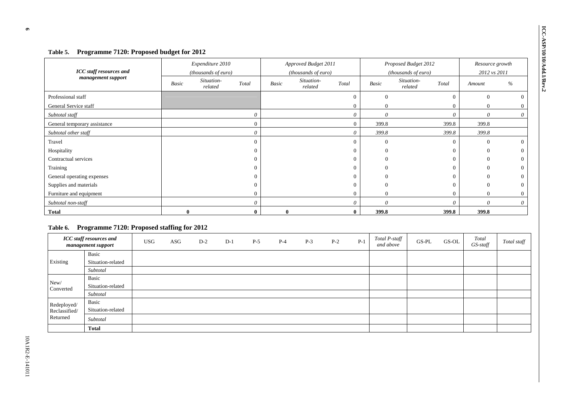| Programme 7120: Proposed budget for 2012<br>Table 5. |              |                       |          |          |                       |                  |              |                                |                      |                 |
|------------------------------------------------------|--------------|-----------------------|----------|----------|-----------------------|------------------|--------------|--------------------------------|----------------------|-----------------|
|                                                      |              | Expenditure 2010      |          |          | Approved Budget 2011  |                  |              | Proposed Budget 2012           |                      | Resource growth |
| <b>ICC</b> staff resources and                       |              | (thousands of euro)   |          |          | (thousands of euro)   |                  |              | (thousands of euro)            |                      | 2012 vs 2011    |
| management support                                   | <b>Basic</b> | Situation-<br>related | Total    | Basic    | Situation-<br>related | Total            | <b>Basic</b> | Situation-<br>Total<br>related | Amount               | $\%$            |
| Professional staff                                   |              |                       |          |          |                       | $\Omega$         | $\Omega$     |                                | $\overline{0}$       |                 |
| General Service staff                                |              |                       |          |          |                       | $\boldsymbol{0}$ | $\Omega$     |                                | $\overline{0}$       |                 |
| Subtotal staff                                       |              |                       | $\theta$ |          |                       | $\theta$         | $\theta$     |                                | $\theta$<br>$\theta$ | $\Omega$        |
| General temporary assistance                         |              |                       | $\Omega$ |          |                       | $\theta$         | 399.8        | 399.8                          | 399.8                |                 |
| Subtotal other staff                                 |              |                       | $\theta$ |          |                       | $\theta$         | 399.8        | 399.8                          | 399.8                |                 |
| Travel                                               |              |                       | $\Omega$ |          |                       | $\Omega$         | $\Omega$     |                                | $\theta$             |                 |
| Hospitality                                          |              |                       |          |          |                       | $\Omega$         | $\Omega$     |                                |                      |                 |
| Contractual services                                 |              |                       |          |          |                       | $\Omega$         | $\Omega$     |                                | $\Omega$             |                 |
| Training                                             |              |                       | $\Omega$ |          |                       | $\Omega$         | $\Omega$     |                                | $\Omega$<br>$\Omega$ |                 |
| General operating expenses                           |              |                       |          |          |                       |                  |              |                                |                      |                 |
| Supplies and materials                               |              |                       | $\Omega$ |          |                       | $\theta$         | $\Omega$     |                                | $\Omega$             |                 |
| Furniture and equipment                              |              |                       | $\Omega$ |          |                       | $\theta$         | $\Omega$     |                                | $\mathbf{0}$         |                 |
| Subtotal non-staff                                   |              |                       | $\theta$ |          |                       | $\theta$         | $\theta$     |                                | $\theta$<br>$\theta$ |                 |
| <b>Total</b>                                         | $\mathbf{0}$ |                       |          | $\bf{0}$ |                       | $\bf{0}$         | 399.8        | 399.8                          | 399.8                |                 |

### **Table 6. Programme 7120: Proposed staffing for 2012**

|                   | <b>ICC</b> staff resources and<br>management support | <b>USG</b> | $\rm ASG$ | $D-2$ | $D-1$ | $P-5$ | $P-4$ | $P-3$ | $P-2$ | $P-1$ | Total P-staff<br>and above | $GS-PL$ | GS-OL | Total<br>GS-staff | Total staff |
|-------------------|------------------------------------------------------|------------|-----------|-------|-------|-------|-------|-------|-------|-------|----------------------------|---------|-------|-------------------|-------------|
|                   | Basic                                                |            |           |       |       |       |       |       |       |       |                            |         |       |                   |             |
| Existing          | Situation-related                                    |            |           |       |       |       |       |       |       |       |                            |         |       |                   |             |
|                   | Subtotal                                             |            |           |       |       |       |       |       |       |       |                            |         |       |                   |             |
|                   | Basic                                                |            |           |       |       |       |       |       |       |       |                            |         |       |                   |             |
| New/<br>Converted | Situation-related                                    |            |           |       |       |       |       |       |       |       |                            |         |       |                   |             |
|                   | Subtotal                                             |            |           |       |       |       |       |       |       |       |                            |         |       |                   |             |
| Redeployed/       | Basic                                                |            |           |       |       |       |       |       |       |       |                            |         |       |                   |             |
| Reclassified/     | Situation-related                                    |            |           |       |       |       |       |       |       |       |                            |         |       |                   |             |
| Returned          | Subtotal                                             |            |           |       |       |       |       |       |       |       |                            |         |       |                   |             |
|                   | <b>Total</b>                                         |            |           |       |       |       |       |       |       |       |                            |         |       |                   |             |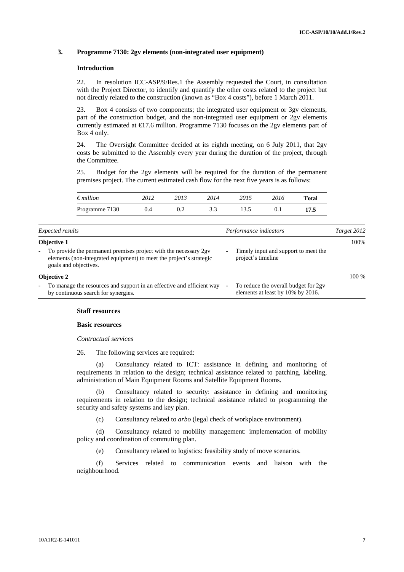## **3. Programme 7130: 2gv elements (non-integrated user equipment)**

## **Introduction**

22. In resolution ICC-ASP/9/Res.1 the Assembly requested the Court, in consultation with the Project Director, to identify and quantify the other costs related to the project but not directly related to the construction (known as "Box 4 costs"), before 1 March 2011.

23. Box 4 consists of two components; the integrated user equipment or 3gv elements, part of the construction budget, and the non-integrated user equipment or 2gv elements currently estimated at  $\bigoplus$  7.6 million. Programme 7130 focuses on the 2gv elements part of Box 4 only.

24. The Oversight Committee decided at its eighth meeting, on 6 July 2011, that 2gv costs be submitted to the Assembly every year during the duration of the project, through the Committee.

25. Budget for the 2gv elements will be required for the duration of the permanent premises project. The current estimated cash flow for the next five years is as follows:

| $\epsilon$ <i>million</i> | 2012 | 2013 | 2014 | 2015 | 2016 | Total |
|---------------------------|------|------|------|------|------|-------|
| Programme 7130            |      | U.Z  | ັ້   | 13 5 |      | 17.5  |

| Expected results                                                                                                                                                           |   | Performance indicators                                                    | Target 2012 |
|----------------------------------------------------------------------------------------------------------------------------------------------------------------------------|---|---------------------------------------------------------------------------|-------------|
| <b>Objective 1</b>                                                                                                                                                         |   |                                                                           | 100\%       |
| To provide the permanent premises project with the necessary 2gv<br>$\sim$<br>elements (non-integrated equipment) to meet the project's strategic<br>goals and objectives. | - | Timely input and support to meet the<br>project's timeline                |             |
| <b>Objective 2</b>                                                                                                                                                         |   |                                                                           | 100 %       |
| To manage the resources and support in an effective and efficient way<br>$\sim$<br>by continuous search for synergies.                                                     |   | To reduce the overall budget for 2gv<br>elements at least by 10% by 2016. |             |

## **Staff resources**

## **Basic resources**

*Contractual services* 

26. The following services are required:

(a) Consultancy related to ICT: assistance in defining and monitoring of requirements in relation to the design; technical assistance related to patching, labeling, administration of Main Equipment Rooms and Satellite Equipment Rooms.

(b) Consultancy related to security: assistance in defining and monitoring requirements in relation to the design; technical assistance related to programming the security and safety systems and key plan.

(c) Consultancy related to *arbo* (legal check of workplace environment).

(d) Consultancy related to mobility management: implementation of mobility policy and coordination of commuting plan.

(e) Consultancy related to logistics: feasibility study of move scenarios.

(f) Services related to communication events and liaison with the neighbourhood.